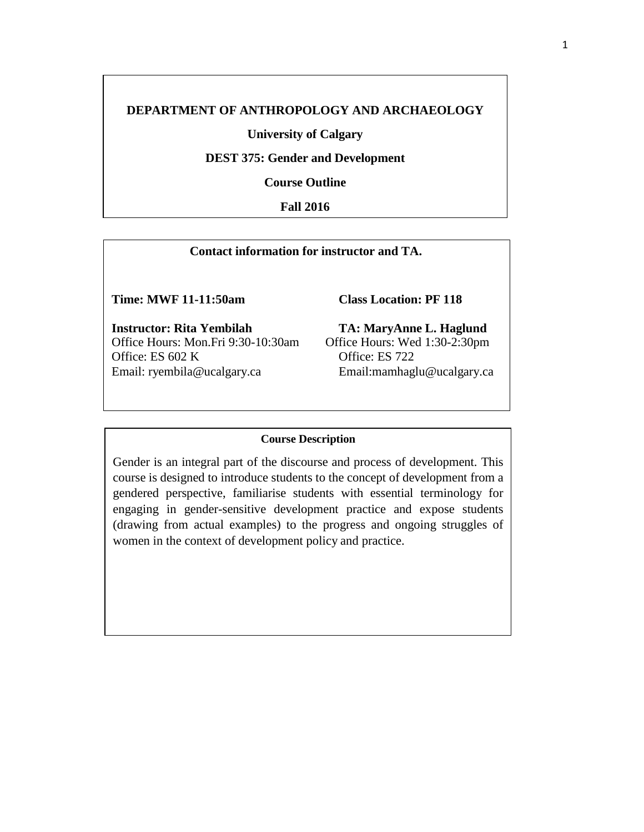# **DEPARTMENT OF ANTHROPOLOGY AND ARCHAEOLOGY**

**University of Calgary**

**DEST 375: Gender and Development**

**Course Outline**

**Fall 2016**

## **Contact information for instructor and TA.**

**Time: MWF 11-11:50am Class Location: PF 118**

**Instructor: Rita Yembilah** Office Hours: Mon.Fri 9:30-10:30am Office: ES 602 K Email: [ryembila@ucalgary.ca](mailto:ryembila@ucalgary.ca)

**TA: MaryAnne L. Haglund** Office Hours: Wed 1:30-2:30pm Office: ES 72[2](mailto:mamhaglu@ucalgary.ca) [Email:mamhaglu@ucalgary.ca](mailto:mamhaglu@ucalgary.ca)

### **Course Description**

Gender is an integral part of the discourse and process of development. This course is designed to introduce students to the concept of development from a gendered perspective, familiarise students with essential terminology for engaging in gender-sensitive development practice and expose students (drawing from actual examples) to the progress and ongoing struggles of women in the context of development policy and practice.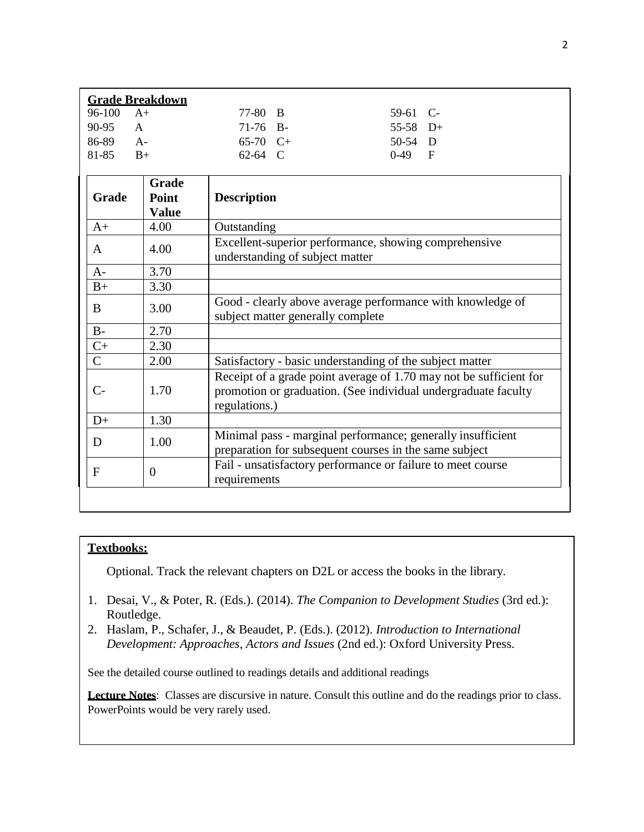| <b>Grade Breakdown</b> |      |              |  |            |  |
|------------------------|------|--------------|--|------------|--|
| $96-100$ A+            |      | 77-80 B      |  | $59-61$ C- |  |
| $90-95$ A              |      | 71-76 B-     |  | $55-58$ D+ |  |
| 86-89                  | $A-$ | $65-70$ $C+$ |  | $50-54$ D  |  |
| 81-85                  | $B+$ | $62-64$ C    |  | $0-49$ F   |  |

| Grade          | <b>Grade</b><br>Point<br><b>Value</b> | <b>Description</b>                                                                                                                                    |
|----------------|---------------------------------------|-------------------------------------------------------------------------------------------------------------------------------------------------------|
| $A+$           | 4.00                                  | Outstanding                                                                                                                                           |
| A              | 4.00                                  | Excellent-superior performance, showing comprehensive<br>understanding of subject matter                                                              |
| $A-$           | 3.70                                  |                                                                                                                                                       |
| $B+$           | 3.30                                  |                                                                                                                                                       |
| B              | 3.00                                  | Good - clearly above average performance with knowledge of<br>subject matter generally complete                                                       |
| $B-$           | 2.70                                  |                                                                                                                                                       |
| $C+$           | 2.30                                  |                                                                                                                                                       |
| $\overline{C}$ | 2.00                                  | Satisfactory - basic understanding of the subject matter                                                                                              |
| $C-$           | 1.70                                  | Receipt of a grade point average of 1.70 may not be sufficient for<br>promotion or graduation. (See individual undergraduate faculty<br>regulations.) |
| $D+$           | 1.30                                  |                                                                                                                                                       |
| D              | 1.00                                  | Minimal pass - marginal performance; generally insufficient<br>preparation for subsequent courses in the same subject                                 |
| $\mathbf{F}$   | $\theta$                              | Fail - unsatisfactory performance or failure to meet course<br>requirements                                                                           |

## **Textbooks:**

Optional. Track the relevant chapters on D2L or access the books in the library.

- 1. Desai, V., & Poter, R. (Eds.). (2014). *The Companion to Development Studies* (3rd ed.): Routledge.
- 2. Haslam, P., Schafer, J., & Beaudet, P. (Eds.). (2012). *Introduction to International Development: Approaches, Actors and Issues* (2nd ed.): Oxford University Press.

See the detailed course outlined to readings details and additional readings

**Lecture Notes**: Classes are discursive in nature. Consult this outline and do the readings prior to class. PowerPoints would be very rarely used.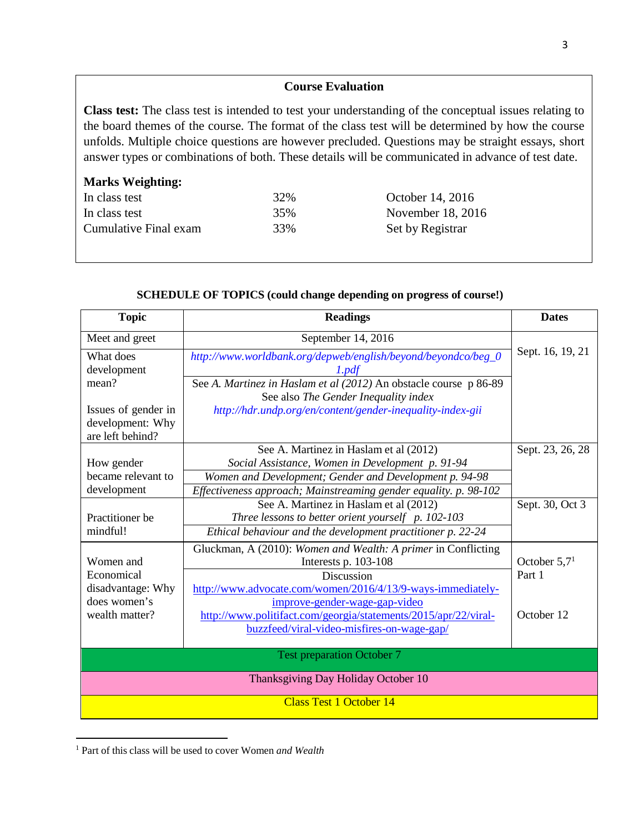## **Course Evaluation**

**Class test:** The class test is intended to test your understanding of the conceptual issues relating to the board themes of the course. The format of the class test will be determined by how the course unfolds. Multiple choice questions are however precluded. Questions may be straight essays, short answer types or combinations of both. These details will be communicated in advance of test date.

## **Marks Weighting:**

| In class test         | 32% | October 14, 2016  |
|-----------------------|-----|-------------------|
| In class test         | 35% | November 18, 2016 |
| Cumulative Final exam | 33% | Set by Registrar  |

| <b>Topic</b>                            | <b>Readings</b>                                                        | <b>Dates</b>     |  |  |
|-----------------------------------------|------------------------------------------------------------------------|------------------|--|--|
| Meet and greet                          | September 14, 2016                                                     |                  |  |  |
| What does<br>development                | http://www.worldbank.org/depweb/english/beyond/beyondco/beg_0<br>1.pdf | Sept. 16, 19, 21 |  |  |
| mean?                                   | See A. Martinez in Haslam et al (2012) An obstacle course p 86-89      |                  |  |  |
|                                         | See also The Gender Inequality index                                   |                  |  |  |
| Issues of gender in<br>development: Why | http://hdr.undp.org/en/content/gender-inequality-index-gii             |                  |  |  |
| are left behind?                        |                                                                        |                  |  |  |
|                                         | See A. Martinez in Haslam et al (2012)                                 | Sept. 23, 26, 28 |  |  |
| How gender                              | Social Assistance, Women in Development p. 91-94                       |                  |  |  |
| became relevant to                      | Women and Development; Gender and Development p. 94-98                 |                  |  |  |
| development                             | Effectiveness approach; Mainstreaming gender equality. p. 98-102       |                  |  |  |
|                                         | See A. Martinez in Haslam et al (2012)                                 | Sept. 30, Oct 3  |  |  |
| Practitioner be                         | Three lessons to better orient yourself p. 102-103                     |                  |  |  |
| mindful!                                | Ethical behaviour and the development practitioner p. 22-24            |                  |  |  |
|                                         | Gluckman, A (2010): Women and Wealth: A primer in Conflicting          |                  |  |  |
| Women and                               | Interests p. $103-108$                                                 | October $5.71$   |  |  |
| Economical                              | Discussion                                                             | Part 1           |  |  |
| disadvantage: Why                       | http://www.advocate.com/women/2016/4/13/9-ways-immediately-            |                  |  |  |
| does women's                            | improve-gender-wage-gap-video                                          |                  |  |  |
| wealth matter?                          | http://www.politifact.com/georgia/statements/2015/apr/22/viral-        | October 12       |  |  |
|                                         | buzzfeed/viral-video-misfires-on-wage-gap/                             |                  |  |  |
| <b>Test preparation October 7</b>       |                                                                        |                  |  |  |
| Thanksgiving Day Holiday October 10     |                                                                        |                  |  |  |
| <b>Class Test 1 October 14</b>          |                                                                        |                  |  |  |

## **SCHEDULE OF TOPICS (could change depending on progress of course!)**

<span id="page-2-0"></span><sup>1</sup> Part of this class will be used to cover Women *and Wealth*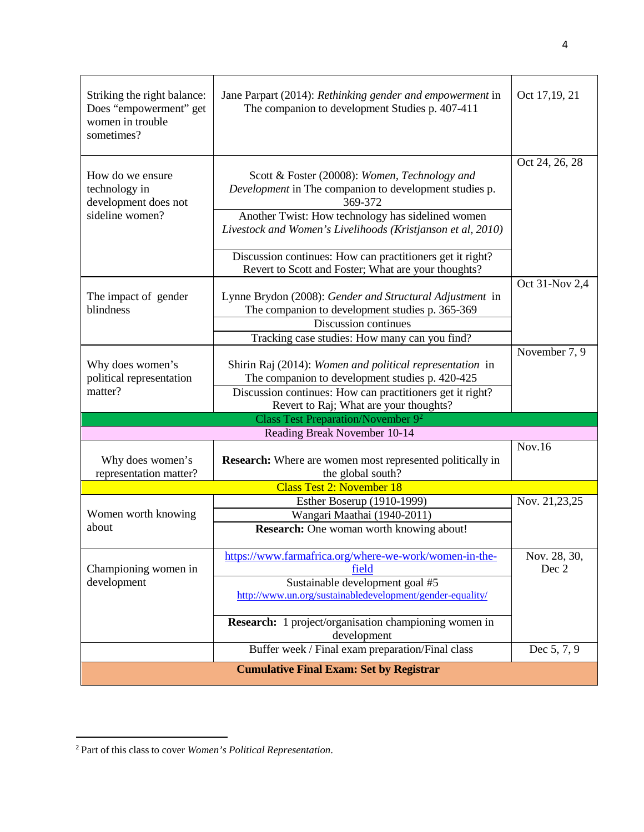| Striking the right balance:<br>Does "empowerment" get<br>women in trouble<br>sometimes? | Jane Parpart (2014): Rethinking gender and empowerment in<br>The companion to development Studies p. 407-411                                                                                                                           | Oct 17,19, 21         |  |  |  |
|-----------------------------------------------------------------------------------------|----------------------------------------------------------------------------------------------------------------------------------------------------------------------------------------------------------------------------------------|-----------------------|--|--|--|
| How do we ensure<br>technology in<br>development does not<br>sideline women?            | Scott & Foster (20008): Women, Technology and<br>Development in The companion to development studies p.<br>369-372<br>Another Twist: How technology has sidelined women<br>Livestock and Women's Livelihoods (Kristjanson et al, 2010) | Oct 24, 26, 28        |  |  |  |
|                                                                                         | Discussion continues: How can practitioners get it right?<br>Revert to Scott and Foster; What are your thoughts?                                                                                                                       |                       |  |  |  |
| The impact of gender<br>blindness                                                       | Lynne Brydon (2008): Gender and Structural Adjustment in<br>The companion to development studies p. 365-369<br>Discussion continues<br>Tracking case studies: How many can you find?                                                   | Oct 31-Nov 2,4        |  |  |  |
| Why does women's<br>political representation<br>matter?                                 | Shirin Raj (2014): Women and political representation in<br>The companion to development studies p. 420-425<br>Discussion continues: How can practitioners get it right?<br>Revert to Raj; What are your thoughts?                     | November 7, 9         |  |  |  |
|                                                                                         | Class Test Preparation/November 9 <sup>2</sup>                                                                                                                                                                                         |                       |  |  |  |
|                                                                                         | Reading Break November 10-14                                                                                                                                                                                                           |                       |  |  |  |
| Why does women's<br>representation matter?                                              | <b>Research:</b> Where are women most represented politically in<br>the global south?                                                                                                                                                  | Nov.16                |  |  |  |
|                                                                                         | <b>Class Test 2: November 18</b>                                                                                                                                                                                                       |                       |  |  |  |
|                                                                                         | Esther Boserup (1910-1999)                                                                                                                                                                                                             | Nov. 21,23,25         |  |  |  |
| Women worth knowing                                                                     | Wangari Maathai (1940-2011)                                                                                                                                                                                                            |                       |  |  |  |
| about                                                                                   | <b>Research:</b> One woman worth knowing about!                                                                                                                                                                                        |                       |  |  |  |
| Championing women in                                                                    | https://www.farmafrica.org/where-we-work/women-in-the-<br>field                                                                                                                                                                        | Nov. 28, 30,<br>Dec 2 |  |  |  |
| development                                                                             | Sustainable development goal #5<br>http://www.un.org/sustainabledevelopment/gender-equality/                                                                                                                                           |                       |  |  |  |
|                                                                                         | <b>Research:</b> 1 project/organisation championing women in<br>development                                                                                                                                                            |                       |  |  |  |
|                                                                                         | Buffer week / Final exam preparation/Final class                                                                                                                                                                                       | Dec 5, 7, 9           |  |  |  |
| <b>Cumulative Final Exam: Set by Registrar</b>                                          |                                                                                                                                                                                                                                        |                       |  |  |  |

<span id="page-3-0"></span><sup>2</sup> Part of this class to cover *Women's Political Representation*.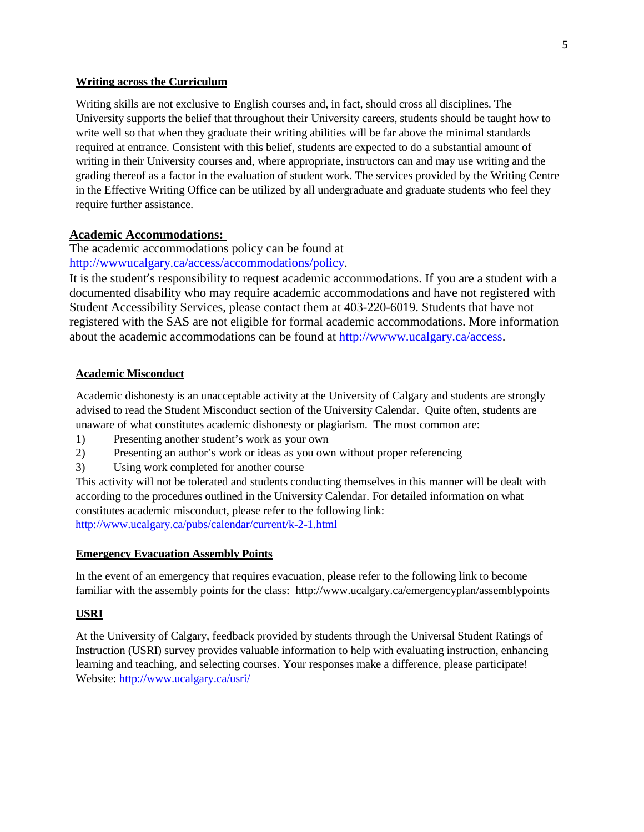#### **Writing across the Curriculum**

Writing skills are not exclusive to English courses and, in fact, should cross all disciplines. The University supports the belief that throughout their University careers, students should be taught how to write well so that when they graduate their writing abilities will be far above the minimal standards required at entrance. Consistent with this belief, students are expected to do a substantial amount of writing in their University courses and, where appropriate, instructors can and may use writing and the grading thereof as a factor in the evaluation of student work. The services provided by the Writing Centre in the Effective Writing Office can be utilized by all undergraduate and graduate students who feel they require further assistance.

## **Academic Accommodations:**

The academic accommodations policy can be found at [http://wwwucalgary.ca/access/accommodations/policy.](http://wwwucalgary.ca/access/accommodations/policy)

It is the student's responsibility to request academic accommodations. If you are a student with a documented disability who may require academic accommodations and have not registered with Student Accessibility Services, please contact them at 403-220-6019. Students that have not registered with the SAS are not eligible for formal academic accommodations. More information about the academic accommodations can be found at [http://wwww.ucalgary.ca/access.](http://wwww.ucalgary.ca/access)

### **Academic Misconduct**

Academic dishonesty is an unacceptable activity at the University of Calgary and students are strongly advised to read the Student Misconduct section of the University Calendar. Quite often, students are unaware of what constitutes academic dishonesty or plagiarism. The most common are:

- 1) Presenting another student's work as your own
- 2) Presenting an author's work or ideas as you own without proper referencing
- 3) Using work completed for another course

This activity will not be tolerated and students conducting themselves in this manner will be dealt with according to the procedures outlined in the University Calendar. For detailed information on what constitutes academic misconduct, please refer to the following link: <http://www.ucalgary.ca/pubs/calendar/current/k-2-1.html>

### **Emergency Evacuation Assembly Points**

In the event of an emergency that requires evacuation, please refer to the following link to become familiar with the assembly points for the class: <http://www.ucalgary.ca/emergencyplan/assemblypoints>

## **USRI**

At the University of Calgary, feedback provided by students through the Universal Student Ratings of Instruction (USRI) survey provides valuable information to help with evaluating instruction, enhancing learning and teaching, and selecting courses. Your responses make a difference, please participate! Website: <http://www.ucalgary.ca/usri/>